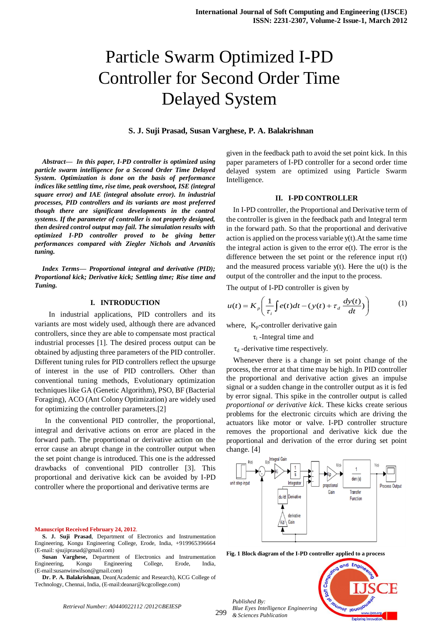# Particle Swarm Optimized I-PD Controller for Second Order Time Delayed System

### **S. J. Suji Prasad, Susan Varghese, P. A. Balakrishnan**

*Abstract— In this paper, I-PD controller is optimized using particle swarm intelligence for a Second Order Time Delayed System. Optimization is done on the basis of performance indices like settling time, rise time, peak overshoot, ISE (integral square error) and IAE (integral absolute error). In industrial processes, PID controllers and its variants are most preferred though there are significant developments in the control systems. If the parameter of controller is not properly designed, then desired control output may fail. The simulation results with optimized I-PD controller proved to be giving better performances compared with Ziegler Nichols and Arvanitis tuning.*

*Index Terms— Proportional integral and derivative (PID); Proportional kick; Derivative kick; Settling time; Rise time and Tuning.*

#### **I. INTRODUCTION**

 In industrial applications, PID controllers and its variants are most widely used, although there are advanced controllers, since they are able to compensate most practical industrial processes [1]. The desired process output can be obtained by adjusting three parameters of the PID controller. Different tuning rules for PID controllers reflect the upsurge of interest in the use of PID controllers. Other than conventional tuning methods, Evolutionary optimization techniques like GA (Genetic Algorithm), PSO, BF (Bacterial Foraging), ACO (Ant Colony Optimization) are widely used for optimizing the controller parameters.[2]

In the conventional PID controller, the proportional, integral and derivative actions on error are placed in the forward path. The proportional or derivative action on the error cause an abrupt change in the controller output when the set point change is introduced. This one is the addressed drawbacks of conventional PID controller [3]. This proportional and derivative kick can be avoided by I-PD controller where the proportional and derivative terms are

**Manuscript Received February 24, 2012**.

**Susan Varghese,** Department of Electronics and Instrumentation Engineering, Kongu Engineering College, Erode, India, (E-mail:susanwinwilson@gmail.com)

**Dr. P. A. Balakrishnan**, Dean(Academic and Research), KCG College of Technology, Chennai, India, (E-mail:deanar@kcgcollege.com)

given in the feedback path to avoid the set point kick. In this paper parameters of I-PD controller for a second order time delayed system are optimized using Particle Swarm Intelligence.

#### **II. I-PD CONTROLLER**

In I-PD controller, the Proportional and Derivative term of the controller is given in the feedback path and Integral term in the forward path. So that the proportional and derivative action is applied on the process variable y(t).At the same time the integral action is given to the error  $e(t)$ . The error is the difference between the set point or the reference input r(t) and the measured process variable y(t). Here the u(t) is the output of the controller and the input to the process.

The output of I-PD controller is given by

$$
u(t) = K_p \left( \frac{1}{\tau_i} \int e(t) dt - (y(t) + \tau_d \frac{dy(t)}{dt}) \right)
$$
 (1)

where,  $K_p$ -controller derivative gain

 $\tau$ <sub>i</sub> -Integral time and

 $\tau_d$  -derivative time respectively.

Whenever there is a change in set point change of the process, the error at that time may be high. In PID controller the proportional and derivative action gives an impulse signal or a sudden change in the controller output as it is fed by error signal. This spike in the controller output is called *proportional or derivative kick*. These kicks create serious problems for the electronic circuits which are driving the actuators like motor or valve. I-PD controller structure removes the proportional and derivative kick due the proportional and derivation of the error during set point change. [4]



**Fig. 1 Block diagram of the I-PD controller applied to a process**

299 *Published By: Blue Eyes Intelligence Engineering & Sciences Publication* 



*Retrieval Number: A0440022112 /2012©BEIESP*

**S. J. Suji Prasad**, Department of Electronics and Instrumentation Engineering, Kongu Engineering College, Erode, India, +919965396664 (E-mail: sjsujiprasad@gmail.com)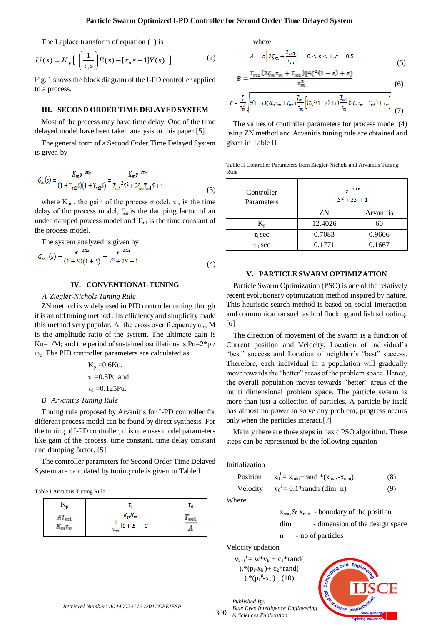The Laplace transform of equation (1) is

$$
U(s) = K_p \left[ \left( \frac{1}{\tau_i s} \right) E(s) - [\tau_d s + 1] Y(s) \right]
$$
 (2)

Fig. 1 shows the block diagram of the I-PD controller applied to a process.

#### **III. SECOND ORDER TIME DELAYED SYSTEM**

Most of the process may have time delay. One of the time delayed model have been taken analysis in this paper [5].

The general form of a Second Order Time Delayed System is given by

$$
G_m(s) = \frac{K_m e^{-s\tau_m}}{(1 + T_{m1}S)(1 + T_{m2}S)} = \frac{K_m e^{-s\tau_m}}{T_{m1}{}^2 S^2 + 2\zeta_m T_{m1}S + 1}
$$
\n(3)

where  $K_{m i s}$  the gain of the process model,  $\tau_m$  is the time delay of the process model,  $\zeta_m$  is the damping factor of an under damped process model and  $T<sub>m1</sub>$  is the time constant of the process model.

The system analyzed is given by

$$
G_{m1}(s) = \frac{e^{-0.1s}}{(1+s)(1+s)} = \frac{e^{-0.1s}}{s^2 + 2s + 1}
$$
(4)

# **IV. CONVENTIONAL TUNING**

## *A Ziegler-Nichols Tuning Rule*

ZN method is widely used in PID controller tuning though it is an old tuning method . Its efficiency and simplicity made this method very popular. At the cross over frequency  $\omega_c$ , M is the amplitude ratio of the system. The ultimate gain is Ku=1/M; and the period of sustained oscillations is  $Pu=2*pi/$ ωc . The PID controller parameters are calculated as

$$
K_p = 0.6Ku,
$$
  

$$
\tau_i = 0.5Pu \text{ and}
$$
  

$$
\tau_d = 0.125Pu.
$$

#### *B Arvanitis Tuning Rule*

Tuning rule proposed by Arvanitis for I-PD controller for different process model can be found by direct synthesis. For the tuning of I-PD controller, this rule uses model parameters like gain of the process, time constant, time delay constant and damping factor. [5]

The controller parameters for Second Order Time Delayed System are calculated by tuning rule is given in Table I

Table I Arvanitis Tuning Rule

| $AT_{m1}$<br>$K_m \tau_m$ | $K_pK_m$<br>$\frac{1}{\tau_m}[1+B]-C$ | $\lfloor m \rfloor$ |
|---------------------------|---------------------------------------|---------------------|

where

$$
A = \varepsilon \left[ 2\zeta_m + \frac{T_{m1}}{\tau_m} \right], \quad 0 < \varepsilon < 1, \varepsilon = 0.5
$$
\n
$$
(5)
$$

$$
B = \frac{I_{m1} \left( \angle \zeta_m \tau_m + I_{m1} \right) \left[ 4\zeta^2 \left( 1 - \varepsilon \right) + \varepsilon \right]}{\tau_m^2} \tag{6}
$$

$$
C = \frac{\zeta}{\tau_m^2} \sqrt{8(1-\varepsilon)(2\zeta_m\tau_m + T_{m1})\frac{T_{m1}}{\tau_m} \left[ (2\zeta^2(1-\varepsilon) + \varepsilon)\frac{T_{m1}}{\tau_m} (2\zeta_m\tau_m + T_{m1}) + \tau_m \right]}
$$
(7)

The values of controller parameters for process model (4) using ZN method and Arvanitis tuning rule are obtained and given in Table II

Table II Controller Parameters from Ziegler-Nichols and Arvanitis Tuning Rule

| Controller<br>Parameters | $e^{-0.1s}$<br>$\sqrt{5^2 + 2S + 1}$ |           |  |
|--------------------------|--------------------------------------|-----------|--|
|                          | ZN                                   | Arvanitis |  |
| K,                       | 12.4026                              | 60        |  |
| $\tau_i$ sec             | 0.7083                               | 0.9606    |  |
| $\tau_{\rm d}$ sec       | 0.1771                               | 0.1667    |  |

## **V. PARTICLE SWARM OPTIMIZATION**

Particle Swarm Optimization (PSO) is one of the relatively recent evolutionary optimization method inspired by nature. This heuristic search method is based on social interaction and communication such as bird flocking and fish schooling. [6]

The direction of movement of the swarm is a function of Current position and Velocity, Location of individual"s "best" success and Location of neighbor's "best" success. Therefore, each individual in a population will gradually move towards the "better" areas of the problem space. Hence, the overall population moves towards "better" areas of the multi dimensional problem space. The particle swarm is more than just a collection of particles. A particle by itself has almost no power to solve any problem; progress occurs only when the particles interact.[7]

Mainly there are three steps in basic PSO algorithm. These steps can be represented by the following equation

Initialization

Position  $\mathbf{X}_{\text{min}} + \mathbf{rand} * (\mathbf{X}_{\text{max}} - \mathbf{X}_{\text{min}})$  (8) Velocity  $v_0^i = 0.1*$ randn (dim, n) (9)

Where

 $x_{\text{max}} \& x_{\text{min}}$  - boundary of the position

dim - dimension of the design space

n - no of particles

Velocity updation

*Published By:*

 $v_{k+1}^i = w^*v_k^i + c_1^*rand($  $.* (p_i-x_k^i)+c_2*rand($  $E^*(p_k^g - x_k^i)$  (10)



*Retrieval Number: A0440022112 /2012©BEIESP*

300 *Blue Eyes Intelligence Engineering & Sciences Publication*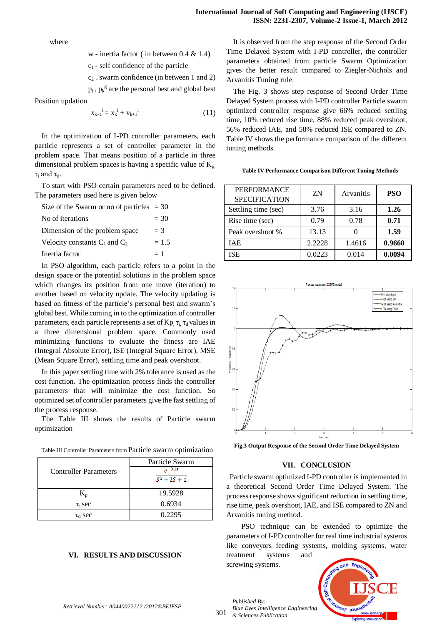where

w - inertia factor ( in between 0.4 & 1.4)

 $c_1$  - self confidence of the particle

 $c_2$ . swarm confidence (in between 1 and 2)

 $p_i$ ,  $p_k^g$  are the personal best and global best

Position updation

$$
x_{k+1}^i = x_k^i + v_{k+1}^i \tag{11}
$$

In the optimization of I-PD controller parameters, each particle represents a set of controller parameter in the problem space. That means position of a particle in three dimensional problem spaces is having a specific value of  $K_p$ .  $\tau$ <sub>i</sub> and  $\tau$ <sub>d</sub>.

To start with PSO certain parameters need to be defined. The parameters used here is given below

| Size of the Swarm or no of particles $=$ 30 |         |
|---------------------------------------------|---------|
| No of iterations                            | $= 30$  |
| Dimension of the problem space              | $=$ 3   |
| Velocity constants $C_1$ and $C_2$          | $= 1.5$ |
| Inertia factor                              | $=1$    |

In PSO algorithm, each particle refers to a point in the design space or the potential solutions in the problem space which changes its position from one move (iteration) to another based on velocity update. The velocity updating is based on fitness of the particle"s personal best and swarm"s global best. While coming in to the optimization of controller parameters, each particle represents a set of Kp  $\tau_i$ ,  $\tau_d$  values in a three dimensional problem space. Commonly used minimizing functions to evaluate the fitness are IAE (Integral Absolute Error), ISE (Integral Square Error), MSE (Mean Square Error), settling time and peak overshoot.

In this paper settling time with 2% tolerance is used as the cost function. The optimization process finds the controller parameters that will minimize the cost function. So optimized set of controller parameters give the fast settling of the process response.

The Table III shows the results of Particle swarm optimization

|                              | Particle Swarm            |  |
|------------------------------|---------------------------|--|
| <b>Controller Parameters</b> | $-0.1s$<br>$S^2 + 2S + 1$ |  |
|                              | 19.5928                   |  |
| $\tau_i$ sec                 | 0.6934                    |  |
| $\tau_{\rm d}$ sec           | 0.2295                    |  |

# **VI. RESULTS AND DISCUSSION**

It is observed from the step response of the Second Order Time Delayed System with I-PD controller, the controller parameters obtained from particle Swarm Optimization gives the better result compared to Ziegler-Nichols and Arvanitis Tuning rule.

The Fig. 3 shows step response of Second Order Time Delayed System process with I-PD controller Particle swarm optimized controller response give 66% reduced settling time, 10% reduced rise time, 88% reduced peak overshoot, 56% reduced IAE, and 58% reduced ISE compared to ZN. Table IV shows the performance comparison of the different tuning methods.

**Table IV Performance Comparison Different Tuning Methods**

| <b>PERFORMANCE</b><br><b>SPECIFICATION</b> | ZN     | Arvanitis | <b>PSO</b> |
|--------------------------------------------|--------|-----------|------------|
| Settling time (sec)                        | 3.76   | 3.16      | 1.26       |
| Rise time (sec)                            | 0.79   | 0.78      | 0.71       |
| Peak overshoot %                           | 13.13  |           | 1.59       |
| IAE.                                       | 2.2228 | 1.4616    | 0.9660     |
| <b>ISE</b>                                 | 0.0223 | 0.014     | 0.0094     |



**Fig.3 Output Response of the Second Order Time Delayed System**

#### **VII. CONCLUSION**

Particle swarm optimized I-PD controller is implemented in a theoretical Second Order Time Delayed System. The process response shows significant reduction in settling time, rise time, peak overshoot, IAE, and ISE compared to ZN and Arvanitis tuning method.

PSO technique can be extended to optimize the parameters of I-PD controller for real time industrial systems like conveyors feeding systems, molding systems, water treatment systems and

screwing systems.

*Published By:*



*Retrieval Number: A0440022112 /2012©BEIESP*

301 *Blue Eyes Intelligence Engineering & Sciences Publication*